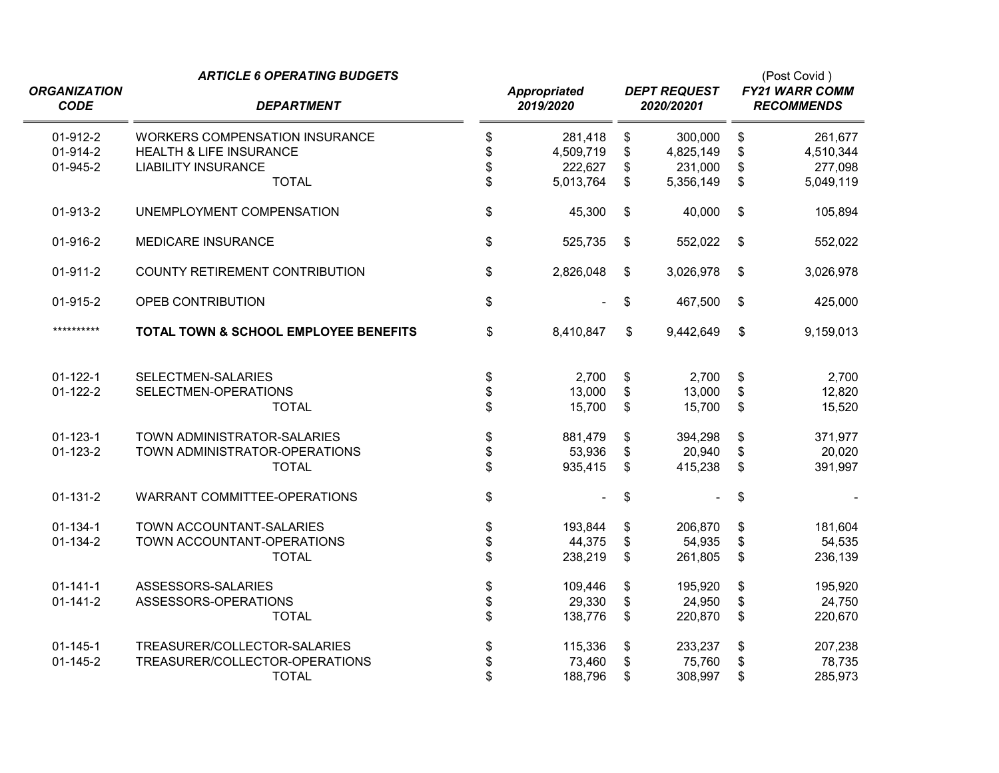| <b>ORGANIZATION</b>  | <b>ARTICLE 6 OPERATING BUDGETS</b>                                          |          | <b>Appropriated</b>  |          | <b>DEPT REQUEST</b>  |                                 | (Post Covid)<br><b>FY21 WARR COMM</b> |  |  |
|----------------------|-----------------------------------------------------------------------------|----------|----------------------|----------|----------------------|---------------------------------|---------------------------------------|--|--|
| <b>CODE</b>          | <b>DEPARTMENT</b>                                                           |          | 2019/2020            |          | 2020/20201           | <b>RECOMMENDS</b>               |                                       |  |  |
| 01-912-2<br>01-914-2 | <b>WORKERS COMPENSATION INSURANCE</b><br><b>HEALTH &amp; LIFE INSURANCE</b> | \$<br>\$ | 281,418<br>4,509,719 | \$<br>\$ | 300,000<br>4,825,149 | \$<br>\$                        | 261,677<br>4,510,344                  |  |  |
| 01-945-2             | <b>LIABILITY INSURANCE</b><br><b>TOTAL</b>                                  | \$<br>\$ | 222,627<br>5,013,764 | \$<br>\$ | 231,000<br>5,356,149 | \$<br>\$                        | 277,098<br>5,049,119                  |  |  |
| 01-913-2             | UNEMPLOYMENT COMPENSATION                                                   | \$       | 45,300               | \$       | 40,000               | \$                              | 105,894                               |  |  |
| 01-916-2             | <b>MEDICARE INSURANCE</b>                                                   | \$       | 525,735              | \$       | 552,022              | $\sqrt[6]{3}$                   | 552,022                               |  |  |
| $01-911-2$           | <b>COUNTY RETIREMENT CONTRIBUTION</b>                                       | \$       | 2,826,048            | \$       | 3,026,978            | \$                              | 3,026,978                             |  |  |
| 01-915-2             | OPEB CONTRIBUTION                                                           | \$       |                      | \$       | 467,500              | \$                              | 425,000                               |  |  |
| **********           | TOTAL TOWN & SCHOOL EMPLOYEE BENEFITS                                       | \$       | 8,410,847            | \$       | 9,442,649            | \$                              | 9,159,013                             |  |  |
| $01 - 122 - 1$       | SELECTMEN-SALARIES                                                          | \$       | 2,700                | \$       | 2,700                | \$                              | 2,700                                 |  |  |
| $01-122-2$           | SELECTMEN-OPERATIONS<br><b>TOTAL</b>                                        | \$<br>\$ | 13,000<br>15,700     | \$<br>\$ | 13,000<br>15,700     | \$<br>$\boldsymbol{\mathsf{S}}$ | 12,820<br>15,520                      |  |  |
| $01 - 123 - 1$       | TOWN ADMINISTRATOR-SALARIES                                                 | \$       | 881,479              | \$       | 394,298              | \$                              | 371,977                               |  |  |
| $01 - 123 - 2$       | TOWN ADMINISTRATOR-OPERATIONS<br><b>TOTAL</b>                               | \$<br>\$ | 53,936<br>935,415    | \$<br>\$ | 20,940<br>415,238    | \$<br>$\boldsymbol{\mathsf{S}}$ | 20,020<br>391,997                     |  |  |
| $01 - 131 - 2$       | WARRANT COMMITTEE-OPERATIONS                                                | \$       |                      | \$       |                      | \$                              |                                       |  |  |
| $01 - 134 - 1$       | TOWN ACCOUNTANT-SALARIES                                                    | \$       | 193,844              | \$       | 206,870              | \$                              | 181,604                               |  |  |
| 01-134-2             | TOWN ACCOUNTANT-OPERATIONS<br><b>TOTAL</b>                                  | \$<br>\$ | 44,375<br>238,219    | \$<br>\$ | 54,935<br>261,805    | \$<br>$\mathsf{\$}$             | 54,535<br>236,139                     |  |  |
| $01 - 141 - 1$       | ASSESSORS-SALARIES                                                          |          | 109,446              | \$       | 195,920              | \$                              | 195,920                               |  |  |
| $01 - 141 - 2$       | ASSESSORS-OPERATIONS                                                        | \$<br>\$ | 29,330               | \$       | 24,950               | \$                              | 24,750                                |  |  |
|                      | <b>TOTAL</b>                                                                |          | 138,776              | \$       | 220,870              | $\boldsymbol{\mathsf{S}}$       | 220,670                               |  |  |
| $01 - 145 - 1$       | TREASURER/COLLECTOR-SALARIES                                                | \$       | 115,336              | \$       | 233,237              | \$                              | 207,238                               |  |  |
| $01 - 145 - 2$       | TREASURER/COLLECTOR-OPERATIONS                                              | \$       | 73,460               | \$       | 75,760               | \$                              | 78,735                                |  |  |
|                      | <b>TOTAL</b>                                                                | \$       | 188,796              | \$       | 308,997              | \$                              | 285,973                               |  |  |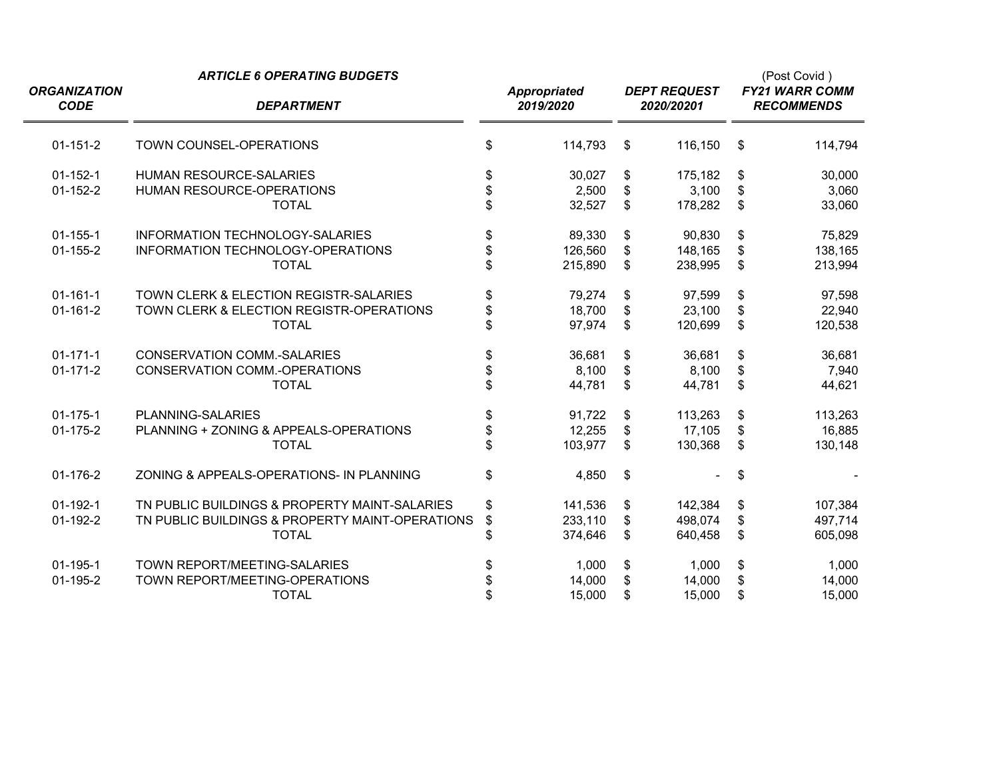|                                    | <b>ARTICLE 6 OPERATING BUDGETS</b>              |          |                                  | (Post Covid) |                                   |    |                                            |  |
|------------------------------------|-------------------------------------------------|----------|----------------------------------|--------------|-----------------------------------|----|--------------------------------------------|--|
| <b>ORGANIZATION</b><br><b>CODE</b> | <b>DEPARTMENT</b>                               |          | <b>Appropriated</b><br>2019/2020 |              | <b>DEPT REQUEST</b><br>2020/20201 |    | <b>FY21 WARR COMM</b><br><b>RECOMMENDS</b> |  |
| $01 - 151 - 2$                     | TOWN COUNSEL-OPERATIONS                         | \$       | 114,793                          | \$           | 116,150                           | \$ | 114,794                                    |  |
| $01 - 152 - 1$                     | HUMAN RESOURCE-SALARIES                         |          | 30,027                           | \$           | 175,182                           | \$ | 30,000                                     |  |
| $01 - 152 - 2$                     | HUMAN RESOURCE-OPERATIONS                       | \$       | 2,500                            | \$           | 3,100                             | \$ | 3,060                                      |  |
|                                    | <b>TOTAL</b>                                    | \$       | 32,527                           | \$           | 178,282                           | \$ | 33,060                                     |  |
| $01 - 155 - 1$                     | <b>INFORMATION TECHNOLOGY-SALARIES</b>          | \$       | 89,330                           | \$           | 90,830                            | \$ | 75,829                                     |  |
| $01 - 155 - 2$                     | INFORMATION TECHNOLOGY-OPERATIONS               | \$       | 126,560                          | \$           | 148,165                           | \$ | 138,165                                    |  |
|                                    | <b>TOTAL</b>                                    | \$       | 215,890                          | \$           | 238,995                           | \$ | 213,994                                    |  |
| $01 - 161 - 1$                     | TOWN CLERK & ELECTION REGISTR-SALARIES          | \$       | 79,274                           | \$           | 97,599                            | \$ | 97,598                                     |  |
| $01 - 161 - 2$                     | TOWN CLERK & ELECTION REGISTR-OPERATIONS        |          | 18,700                           | \$           | 23,100                            | \$ | 22,940                                     |  |
|                                    | <b>TOTAL</b>                                    | \$<br>\$ | 97,974                           | \$           | 120,699                           | \$ | 120,538                                    |  |
| $01 - 171 - 1$                     | <b>CONSERVATION COMM.-SALARIES</b>              | \$       | 36,681                           | \$           | 36,681                            | \$ | 36,681                                     |  |
| $01 - 171 - 2$                     | CONSERVATION COMM.-OPERATIONS                   | \$       | 8,100                            | \$           | 8,100                             | \$ | 7,940                                      |  |
|                                    | <b>TOTAL</b>                                    | \$       | 44,781                           | \$           | 44,781                            | \$ | 44,621                                     |  |
| $01 - 175 - 1$                     | PLANNING-SALARIES                               | \$       | 91,722                           | \$           | 113,263                           | \$ | 113,263                                    |  |
| 01-175-2                           | PLANNING + ZONING & APPEALS-OPERATIONS          | \$<br>\$ | 12,255                           | \$           | 17,105                            | \$ | 16,885                                     |  |
|                                    | <b>TOTAL</b>                                    |          | 103,977                          | \$           | 130,368                           | \$ | 130,148                                    |  |
| 01-176-2                           | ZONING & APPEALS-OPERATIONS- IN PLANNING        | \$       | 4,850                            | \$           |                                   | \$ |                                            |  |
| $01-192-1$                         | TN PUBLIC BUILDINGS & PROPERTY MAINT-SALARIES   | \$       | 141,536                          | \$           | 142,384                           | \$ | 107,384                                    |  |
| 01-192-2                           | TN PUBLIC BUILDINGS & PROPERTY MAINT-OPERATIONS | \$       | 233,110                          | \$           | 498,074                           | \$ | 497,714                                    |  |
|                                    | <b>TOTAL</b>                                    | \$       | 374,646                          | \$           | 640,458                           | \$ | 605,098                                    |  |
| $01 - 195 - 1$                     | TOWN REPORT/MEETING-SALARIES                    | \$       | 1,000                            | \$           | 1,000                             | \$ | 1,000                                      |  |
| 01-195-2                           | TOWN REPORT/MEETING-OPERATIONS                  | \$       | 14,000                           | \$           | 14,000                            | \$ | 14,000                                     |  |
|                                    | <b>TOTAL</b>                                    | \$       | 15,000                           | \$           | 15,000                            | \$ | 15,000                                     |  |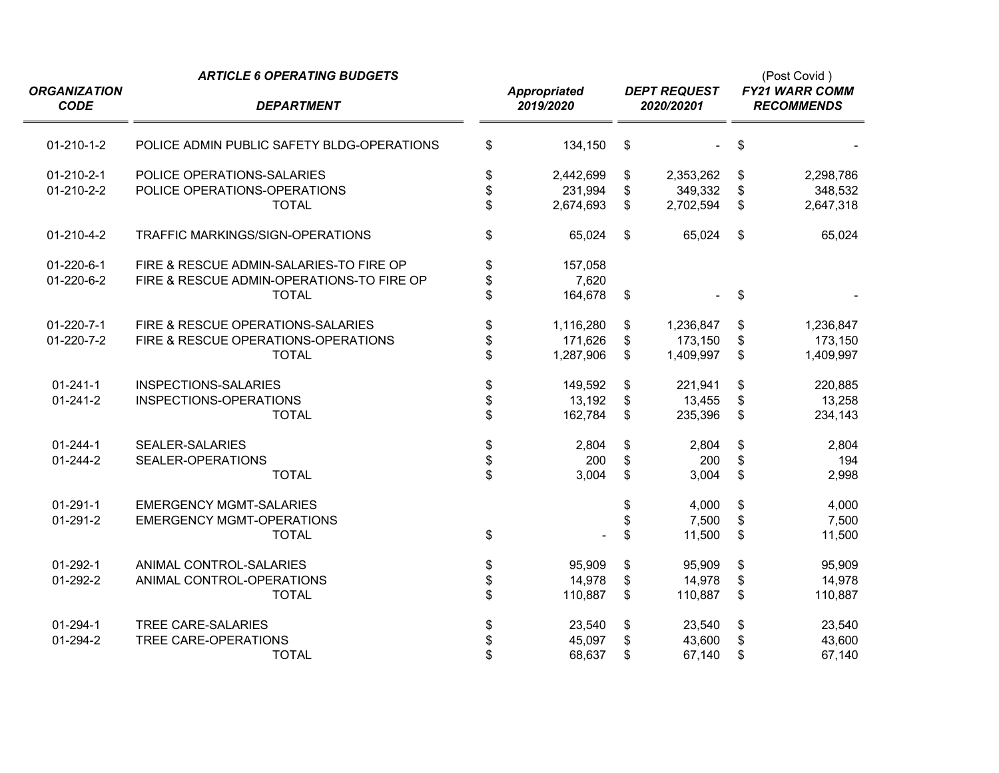|                                    | <b>ARTICLE 6 OPERATING BUDGETS</b>         |          |                                  |                                   |           |                         | (Post Covid)<br><b>FY21 WARR COMM</b><br><b>RECOMMENDS</b>                                                       |  |  |
|------------------------------------|--------------------------------------------|----------|----------------------------------|-----------------------------------|-----------|-------------------------|------------------------------------------------------------------------------------------------------------------|--|--|
| <b>ORGANIZATION</b><br><b>CODE</b> | <b>DEPARTMENT</b>                          |          | <b>Appropriated</b><br>2019/2020 | <b>DEPT REQUEST</b><br>2020/20201 |           |                         | 2,298,786<br>348,532<br>2,647,318<br>65,024<br>1,236,847<br>173,150<br>1,409,997<br>220,885<br>13,258<br>234,143 |  |  |
| $01-210-1-2$                       | POLICE ADMIN PUBLIC SAFETY BLDG-OPERATIONS | \$       | 134,150                          | \$                                |           | \$                      |                                                                                                                  |  |  |
| $01 - 210 - 2 - 1$                 | POLICE OPERATIONS-SALARIES                 | \$       | 2,442,699                        | \$                                | 2,353,262 | \$                      |                                                                                                                  |  |  |
| 01-210-2-2                         | POLICE OPERATIONS-OPERATIONS               |          | 231,994                          | \$                                | 349,332   | \$                      |                                                                                                                  |  |  |
|                                    | <b>TOTAL</b>                               | \$       | 2,674,693                        | \$                                | 2,702,594 | \$                      |                                                                                                                  |  |  |
| 01-210-4-2                         | TRAFFIC MARKINGS/SIGN-OPERATIONS           | \$       | 65,024                           | $\mathfrak{s}$                    | 65,024    | $\sqrt[6]{\frac{1}{2}}$ |                                                                                                                  |  |  |
| 01-220-6-1                         | FIRE & RESCUE ADMIN-SALARIES-TO FIRE OP    |          | 157,058                          |                                   |           |                         |                                                                                                                  |  |  |
| 01-220-6-2                         | FIRE & RESCUE ADMIN-OPERATIONS-TO FIRE OP  | \$<br>\$ | 7,620                            |                                   |           |                         |                                                                                                                  |  |  |
|                                    | <b>TOTAL</b>                               |          | 164,678                          | \$                                |           | \$                      |                                                                                                                  |  |  |
| $01 - 220 - 7 - 1$                 | FIRE & RESCUE OPERATIONS-SALARIES          | \$       | 1,116,280                        | \$                                | 1,236,847 | \$                      |                                                                                                                  |  |  |
| 01-220-7-2                         | FIRE & RESCUE OPERATIONS-OPERATIONS        | \$       | 171,626                          | \$                                | 173,150   | \$                      |                                                                                                                  |  |  |
|                                    | <b>TOTAL</b>                               | \$       | 1,287,906                        | \$                                | 1,409,997 | \$                      |                                                                                                                  |  |  |
| $01 - 241 - 1$                     | INSPECTIONS-SALARIES                       |          | 149,592                          | \$                                | 221,941   | \$                      |                                                                                                                  |  |  |
| $01 - 241 - 2$                     | INSPECTIONS-OPERATIONS                     | \$<br>\$ | 13,192                           | \$                                | 13,455    | \$                      |                                                                                                                  |  |  |
|                                    | <b>TOTAL</b>                               |          | 162,784                          | \$                                | 235,396   | \$                      |                                                                                                                  |  |  |
| $01 - 244 - 1$                     | <b>SEALER-SALARIES</b>                     |          | 2,804                            | \$                                | 2,804     | \$                      | 2,804                                                                                                            |  |  |
| 01-244-2                           | SEALER-OPERATIONS                          | \$       | 200                              | \$                                | 200       | \$                      | 194                                                                                                              |  |  |
|                                    | <b>TOTAL</b>                               | \$       | 3,004                            | \$                                | 3,004     | \$                      | 2,998                                                                                                            |  |  |
| $01 - 291 - 1$                     | <b>EMERGENCY MGMT-SALARIES</b>             |          |                                  | \$                                | 4,000     | \$                      | 4,000                                                                                                            |  |  |
| $01 - 291 - 2$                     | <b>EMERGENCY MGMT-OPERATIONS</b>           |          |                                  | \$                                | 7,500     | \$                      | 7,500                                                                                                            |  |  |
|                                    | <b>TOTAL</b>                               | \$       |                                  | \$                                | 11,500    | \$                      | 11,500                                                                                                           |  |  |
| $01 - 292 - 1$                     | ANIMAL CONTROL-SALARIES                    | \$       | 95,909                           | \$                                | 95,909    | \$                      | 95,909                                                                                                           |  |  |
| 01-292-2                           | ANIMAL CONTROL-OPERATIONS                  | \$       | 14,978                           | \$                                | 14,978    | \$                      | 14,978                                                                                                           |  |  |
|                                    | <b>TOTAL</b>                               | \$       | 110,887                          | \$                                | 110,887   | \$                      | 110,887                                                                                                          |  |  |
| $01 - 294 - 1$                     | <b>TREE CARE-SALARIES</b>                  | \$       | 23,540                           | \$                                | 23,540    | \$                      | 23,540                                                                                                           |  |  |
| 01-294-2                           | TREE CARE-OPERATIONS                       | \$       | 45,097                           | \$                                | 43,600    | \$                      | 43,600                                                                                                           |  |  |
|                                    | <b>TOTAL</b>                               | \$       | 68,637                           | \$                                | 67,140    | \$                      | 67,140                                                                                                           |  |  |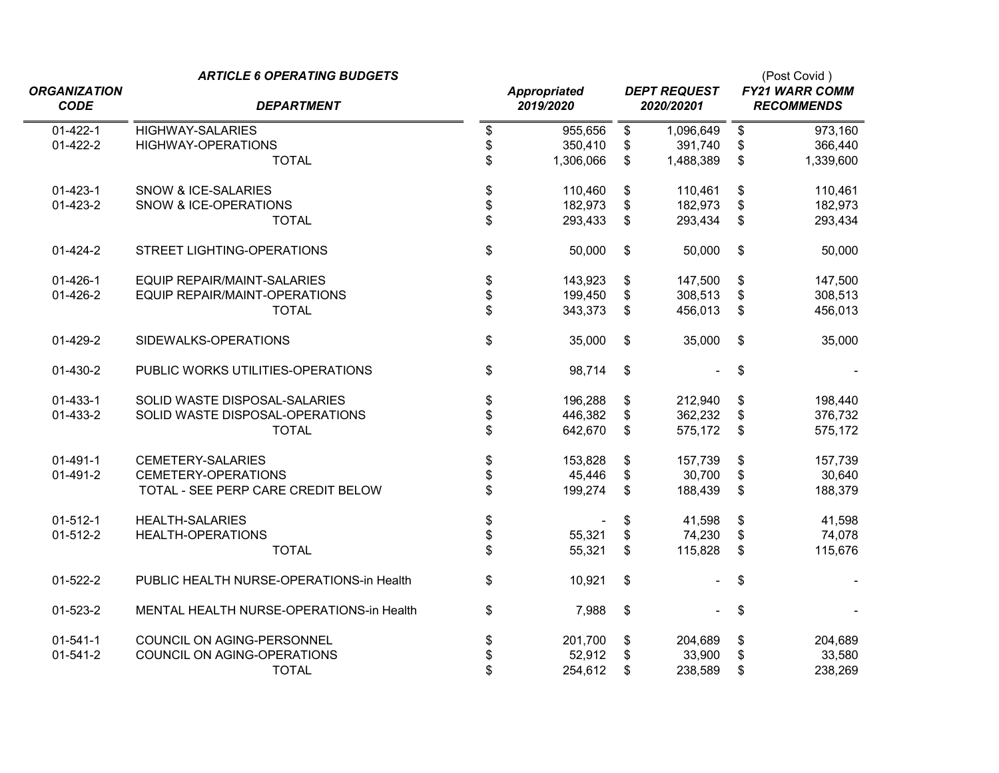|                     | <b>ARTICLE 6 OPERATING BUDGETS</b>       |                 |                           |                     |                           | (Post Covid)      |
|---------------------|------------------------------------------|-----------------|---------------------------|---------------------|---------------------------|-------------------|
| <b>ORGANIZATION</b> |                                          | Appropriated    |                           | <b>DEPT REQUEST</b> | <b>FY21 WARR COMM</b>     |                   |
| <b>CODE</b>         | <b>DEPARTMENT</b>                        | 2019/2020       |                           | 2020/20201          |                           | <b>RECOMMENDS</b> |
| $01-422-1$          | <b>HIGHWAY-SALARIES</b>                  | \$<br>955,656   | $\frac{1}{2}$             | 1,096,649           | \$                        | 973,160           |
| 01-422-2            | <b>HIGHWAY-OPERATIONS</b>                | \$<br>350,410   | \$                        | 391,740             | \$                        | 366,440           |
|                     | <b>TOTAL</b>                             | \$<br>1,306,066 | \$                        | 1,488,389           | $\boldsymbol{\mathsf{S}}$ | 1,339,600         |
| $01 - 423 - 1$      | <b>SNOW &amp; ICE-SALARIES</b>           | \$<br>110,460   | \$                        | 110,461             | \$                        | 110,461           |
| 01-423-2            | SNOW & ICE-OPERATIONS                    | \$<br>182,973   | \$                        | 182,973             | \$                        | 182,973           |
|                     | <b>TOTAL</b>                             | \$<br>293,433   | \$                        | 293,434             | \$                        | 293,434           |
| 01-424-2            | <b>STREET LIGHTING-OPERATIONS</b>        | \$<br>50,000    | \$                        | 50,000              | $\boldsymbol{\mathsf{S}}$ | 50,000            |
| $01 - 426 - 1$      | <b>EQUIP REPAIR/MAINT-SALARIES</b>       | \$<br>143,923   | \$                        | 147,500             | \$                        | 147,500           |
| 01-426-2            | EQUIP REPAIR/MAINT-OPERATIONS            | \$<br>199,450   | \$                        | 308,513             | \$                        | 308,513           |
|                     | <b>TOTAL</b>                             | \$<br>343,373   | \$                        | 456,013             | $\boldsymbol{\mathsf{S}}$ | 456,013           |
| 01-429-2            | SIDEWALKS-OPERATIONS                     | \$<br>35,000    | $\boldsymbol{\mathsf{S}}$ | 35,000              | \$                        | 35,000            |
| 01-430-2            | PUBLIC WORKS UTILITIES-OPERATIONS        | \$<br>98,714    | \$                        |                     | \$                        |                   |
| $01-433-1$          | SOLID WASTE DISPOSAL-SALARIES            | \$<br>196,288   | \$                        | 212,940             | \$                        | 198,440           |
| 01-433-2            | SOLID WASTE DISPOSAL-OPERATIONS          | \$<br>446,382   | \$                        | 362,232             | \$                        | 376,732           |
|                     | <b>TOTAL</b>                             | \$<br>642,670   | \$                        | 575,172             | \$                        | 575,172           |
| $01-491-1$          | <b>CEMETERY-SALARIES</b>                 | \$<br>153,828   | \$                        | 157,739             | \$                        | 157,739           |
| 01-491-2            | <b>CEMETERY-OPERATIONS</b>               | \$<br>45,446    | \$                        | 30,700              | \$                        | 30,640            |
|                     | TOTAL - SEE PERP CARE CREDIT BELOW       | \$<br>199,274   | \$                        | 188,439             | \$                        | 188,379           |
| $01-512-1$          | <b>HEALTH-SALARIES</b>                   | \$              | \$                        | 41,598              | \$                        | 41,598            |
| $01-512-2$          | <b>HEALTH-OPERATIONS</b>                 | \$<br>55,321    | \$                        | 74,230              | \$                        | 74,078            |
|                     | <b>TOTAL</b>                             | \$<br>55,321    | \$                        | 115,828             | $\mathsf{\$}$             | 115,676           |
| 01-522-2            | PUBLIC HEALTH NURSE-OPERATIONS-in Health | \$<br>10,921    | \$                        |                     | \$                        |                   |
| 01-523-2            | MENTAL HEALTH NURSE-OPERATIONS-in Health | \$<br>7,988     | \$                        |                     | \$                        |                   |
| $01 - 541 - 1$      | COUNCIL ON AGING-PERSONNEL               | \$<br>201,700   | \$                        | 204,689             | \$                        | 204,689           |
| $01 - 541 - 2$      | COUNCIL ON AGING-OPERATIONS              | \$<br>52,912    | \$                        | 33,900              | \$                        | 33,580            |
|                     | <b>TOTAL</b>                             | \$<br>254,612   | \$                        | 238,589             | \$                        | 238,269           |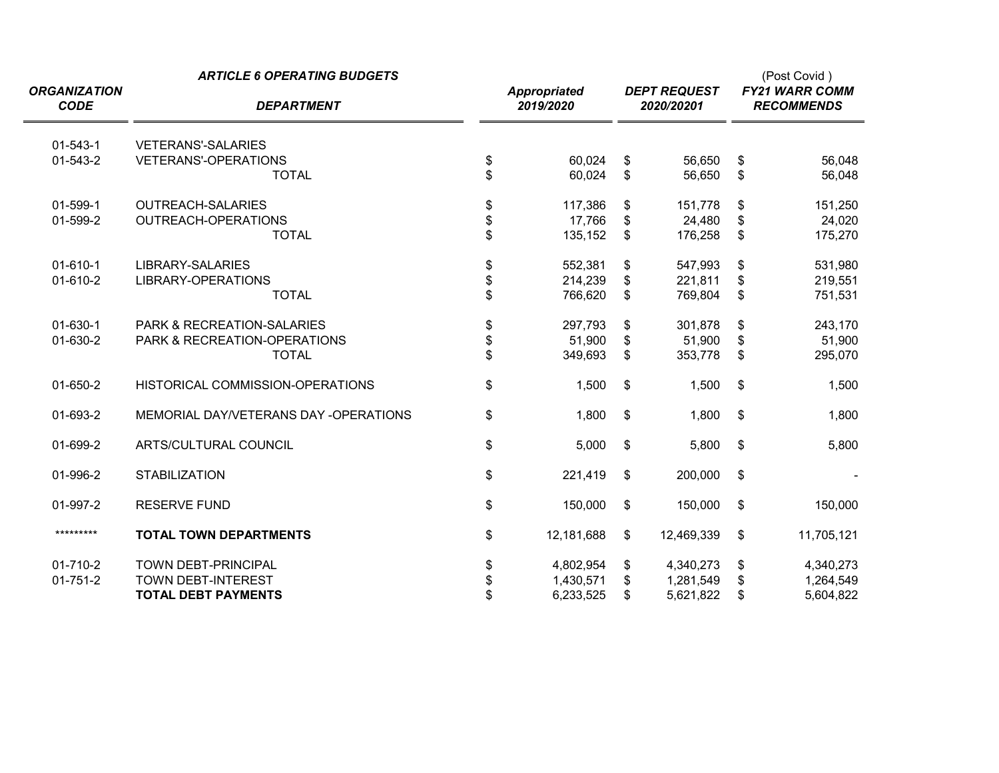| <b>ORGANIZATION</b><br><b>CODE</b> | <b>ARTICLE 6 OPERATING BUDGETS</b><br><b>DEPARTMENT</b> | <b>Appropriated</b><br>2019/2020 |                | <b>DEPT REQUEST</b><br>2020/20201 |                         | (Post Covid)<br><b>FY21 WARR COMM</b><br><b>RECOMMENDS</b> |
|------------------------------------|---------------------------------------------------------|----------------------------------|----------------|-----------------------------------|-------------------------|------------------------------------------------------------|
| $01 - 543 - 1$                     | <b>VETERANS'-SALARIES</b>                               |                                  |                |                                   |                         |                                                            |
| 01-543-2                           | <b>VETERANS'-OPERATIONS</b>                             | \$<br>60,024                     | \$             | 56,650                            | \$                      | 56,048                                                     |
|                                    | <b>TOTAL</b>                                            | \$<br>60,024                     | \$             | 56,650                            | $\mathsf{\$}$           | 56,048                                                     |
| 01-599-1                           | <b>OUTREACH-SALARIES</b>                                | \$<br>117,386                    | \$             | 151,778                           | \$                      | 151,250                                                    |
| 01-599-2                           | OUTREACH-OPERATIONS                                     | \$<br>17,766                     | \$             | 24,480                            | \$                      | 24,020                                                     |
|                                    | <b>TOTAL</b>                                            | \$<br>135,152                    | \$             | 176,258                           | $\mathsf{\$}$           | 175,270                                                    |
| $01-610-1$                         | LIBRARY-SALARIES                                        | \$<br>552,381                    | \$             | 547,993                           | \$                      | 531,980                                                    |
| 01-610-2                           | LIBRARY-OPERATIONS                                      | \$<br>214,239                    | \$             | 221,811                           | \$                      | 219,551                                                    |
|                                    | <b>TOTAL</b>                                            | \$<br>766,620                    | \$             | 769,804                           | \$                      | 751,531                                                    |
| 01-630-1                           | <b>PARK &amp; RECREATION-SALARIES</b>                   | \$<br>297,793                    | \$             | 301,878                           | \$                      | 243,170                                                    |
| 01-630-2                           | PARK & RECREATION-OPERATIONS                            | \$<br>51,900                     | \$             | 51,900                            | \$                      | 51,900                                                     |
|                                    | <b>TOTAL</b>                                            | \$<br>349,693                    | \$             | 353,778                           | \$                      | 295,070                                                    |
| 01-650-2                           | HISTORICAL COMMISSION-OPERATIONS                        | \$<br>1,500                      | \$             | 1,500                             | \$                      | 1,500                                                      |
| 01-693-2                           | MEMORIAL DAY/VETERANS DAY -OPERATIONS                   | \$<br>1,800                      | \$             | 1,800                             | \$                      | 1,800                                                      |
| 01-699-2                           | ARTS/CULTURAL COUNCIL                                   | \$<br>5,000                      | $\mathfrak{s}$ | 5,800                             | $\sqrt[6]{\frac{1}{2}}$ | 5,800                                                      |
| 01-996-2                           | <b>STABILIZATION</b>                                    | \$<br>221,419                    | \$             | 200,000                           | \$                      |                                                            |
| 01-997-2                           | <b>RESERVE FUND</b>                                     | \$<br>150,000                    | \$             | 150,000                           | \$                      | 150,000                                                    |
| *********                          | <b>TOTAL TOWN DEPARTMENTS</b>                           | \$<br>12,181,688                 | \$             | 12,469,339                        | \$                      | 11,705,121                                                 |
| 01-710-2                           | <b>TOWN DEBT-PRINCIPAL</b>                              | \$<br>4,802,954                  | \$             | 4,340,273                         | \$                      | 4,340,273                                                  |
| $01 - 751 - 2$                     | <b>TOWN DEBT-INTEREST</b>                               | \$<br>1,430,571                  | \$             | 1,281,549                         | \$                      | 1,264,549                                                  |
|                                    | <b>TOTAL DEBT PAYMENTS</b>                              | \$<br>6,233,525                  | \$             | 5,621,822                         | \$                      | 5,604,822                                                  |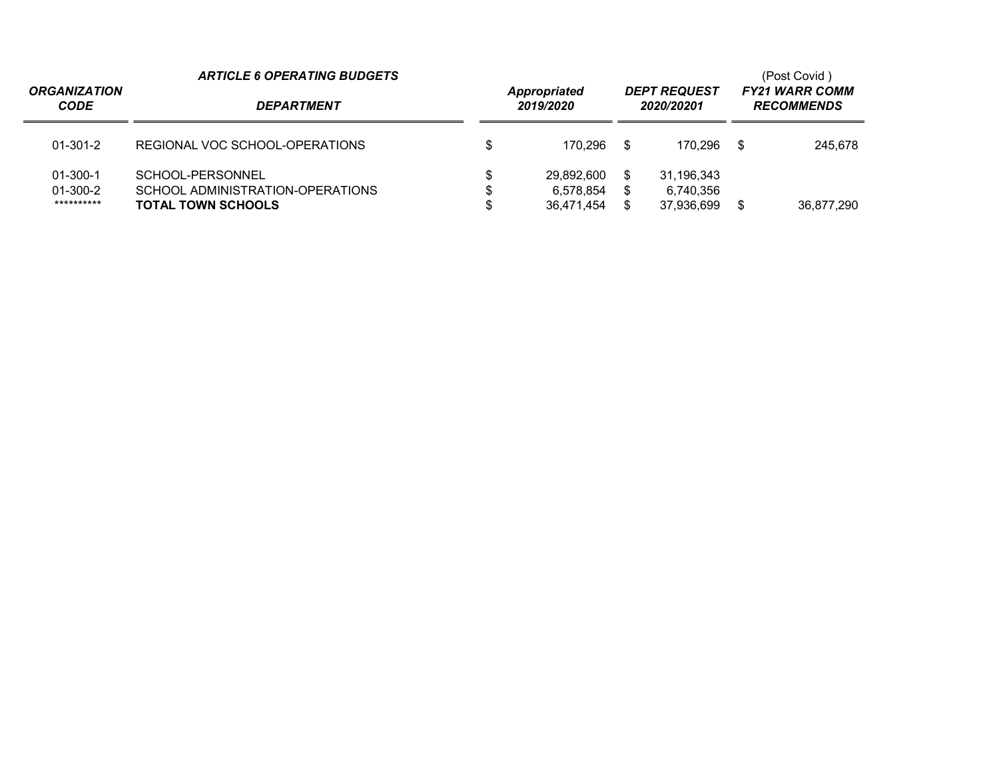| <b>ORGANIZATION</b><br><b>CODE</b>             | <b>ARTICLE 6 OPERATING BUDGETS</b><br><b>DEPARTMENT</b>                           | <b>DEPT REQUEST</b><br><b>Appropriated</b><br>2019/2020<br>2020/20201 |                                       |                |                                       |      | (Post Covid)<br><b>FY21 WARR COMM</b><br><b>RECOMMENDS</b> |  |  |
|------------------------------------------------|-----------------------------------------------------------------------------------|-----------------------------------------------------------------------|---------------------------------------|----------------|---------------------------------------|------|------------------------------------------------------------|--|--|
| $01 - 301 - 2$                                 | REGIONAL VOC SCHOOL-OPERATIONS                                                    |                                                                       | 170.296                               | - \$           | 170.296                               | - \$ | 245.678                                                    |  |  |
| $01 - 300 - 1$<br>$01 - 300 - 2$<br>********** | SCHOOL-PERSONNEL<br>SCHOOL ADMINISTRATION-OPERATIONS<br><b>TOTAL TOWN SCHOOLS</b> | \$                                                                    | 29.892.600<br>6.578.854<br>36.471.454 | \$<br>S.<br>\$ | 31,196,343<br>6.740.356<br>37,936,699 | S    | 36,877,290                                                 |  |  |